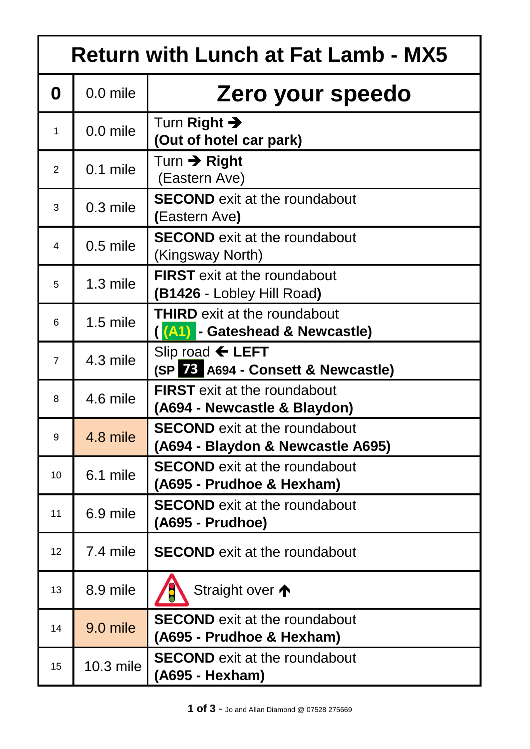| <b>Return with Lunch at Fat Lamb - MX5</b> |             |                                                                           |  |  |
|--------------------------------------------|-------------|---------------------------------------------------------------------------|--|--|
| 0                                          | $0.0$ mile  | Zero your speedo                                                          |  |  |
| $\mathbf{1}$                               | $0.0$ mile  | Turn Right $\rightarrow$<br>(Out of hotel car park)                       |  |  |
| $\overline{2}$                             | $0.1$ mile  | Turn $\rightarrow$ Right<br>(Eastern Ave)                                 |  |  |
| 3                                          | 0.3 mile    | <b>SECOND</b> exit at the roundabout<br>(Eastern Ave)                     |  |  |
| 4                                          | $0.5$ mile  | <b>SECOND</b> exit at the roundabout<br>(Kingsway North)                  |  |  |
| 5                                          | $1.3$ mile  | <b>FIRST</b> exit at the roundabout<br>(B1426 - Lobley Hill Road)         |  |  |
| 6                                          | $1.5$ mile  | <b>THIRD</b> exit at the roundabout<br>(A1) - Gateshead & Newcastle)      |  |  |
| $\overline{7}$                             | $4.3$ mile  | Slip road $\leftarrow$ LEFT<br>(SP 28 A694 - Consett & Newcastle)         |  |  |
| 8                                          | 4.6 mile    | <b>FIRST</b> exit at the roundabout<br>(A694 - Newcastle & Blaydon)       |  |  |
| 9                                          | 4.8 mile    | <b>SECOND</b> exit at the roundabout<br>(A694 - Blaydon & Newcastle A695) |  |  |
| 10                                         | 6.1 mile    | <b>SECOND</b> exit at the roundabout<br>(A695 - Prudhoe & Hexham)         |  |  |
| 11                                         | 6.9 mile    | <b>SECOND</b> exit at the roundabout<br>(A695 - Prudhoe)                  |  |  |
| 12 <sup>2</sup>                            | 7.4 mile    | <b>SECOND</b> exit at the roundabout                                      |  |  |
| 13                                         | 8.9 mile    | Straight over $\bigwedge$                                                 |  |  |
| 14                                         | 9.0 mile    | <b>SECOND</b> exit at the roundabout<br>(A695 - Prudhoe & Hexham)         |  |  |
| 15                                         | $10.3$ mile | <b>SECOND</b> exit at the roundabout<br>(A695 - Hexham)                   |  |  |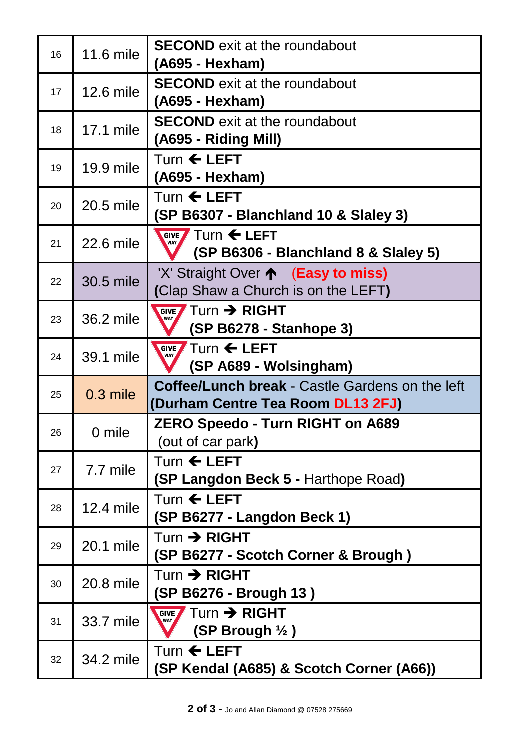| 16 | 11.6 mile  | <b>SECOND</b> exit at the roundabout<br>(A695 - Hexham)                                      |
|----|------------|----------------------------------------------------------------------------------------------|
| 17 | 12.6 mile  | <b>SECOND</b> exit at the roundabout<br>(A695 - Hexham)                                      |
| 18 | 17.1 mile  | <b>SECOND</b> exit at the roundabout<br>(A695 - Riding Mill)                                 |
| 19 | 19.9 mile  | Turn ← LEFT<br>(A695 - Hexham)                                                               |
| 20 | 20.5 mile  | Turn $\leftarrow$ LEFT<br>(SP B6307 - Blanchland 10 & Slaley 3)                              |
| 21 | 22.6 mile  | GIVE $\sqrt{ }$ Turn $\leftarrow$ LEFT<br><b>WAY</b><br>(SP B6306 - Blanchland 8 & Slaley 5) |
| 22 | 30.5 mile  | 'X' Straight Over ← (Easy to miss)<br>(Clap Shaw a Church is on the LEFT)                    |
| 23 | 36.2 mile  | $Turn \rightarrow RIGHT$<br><b>GIVE</b><br>WAY<br>(SP B6278 - Stanhope 3)                    |
| 24 | 39.1 mile  | Turn $\leftarrow$ LEFT<br><b>GIVE</b><br>WAY<br>(SP A689 - Wolsingham)                       |
| 25 | $0.3$ mile | <b>Coffee/Lunch break - Castle Gardens on the left</b><br>(Durham Centre Tea Room DL13 2FJ)  |
| 26 | 0 mile     | <b>ZERO Speedo - Turn RIGHT on A689</b><br>(out of car park)                                 |
| 27 | 7.7 mile   | Turn $\leftarrow$ LEFT<br><b>(SP Langdon Beck 5 - Harthope Road)</b>                         |
| 28 | 12.4 mile  | Turn $\leftarrow$ LEFT<br>(SP B6277 - Langdon Beck 1)                                        |
| 29 | 20.1 mile  | $Turn \rightarrow RIGHT$<br>(SP B6277 - Scotch Corner & Brough)                              |
| 30 | 20.8 mile  | $Turn \rightarrow RIGHT$<br>(SP B6276 - Brough 13)                                           |
| 31 | 33.7 mile  | GIVE Turn > RIGHT<br>WAY<br>(SP Brough $\frac{1}{2}$ )                                       |
| 32 | 34.2 mile  | Turn ← LEFT<br>(SP Kendal (A685) & Scotch Corner (A66))                                      |